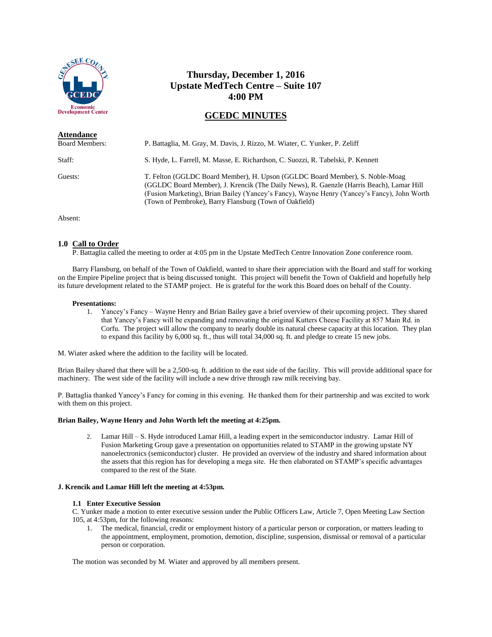

# **Thursday, December 1, 2016 Upstate MedTech Centre – Suite 107 4:00 PM**

# **GCEDC MINUTES**

| <b>Attendance</b>     |                                                                                                                                                                                                                                                                                                                                   |
|-----------------------|-----------------------------------------------------------------------------------------------------------------------------------------------------------------------------------------------------------------------------------------------------------------------------------------------------------------------------------|
| <b>Board Members:</b> | P. Battaglia, M. Gray, M. Davis, J. Rizzo, M. Wiater, C. Yunker, P. Zeliff                                                                                                                                                                                                                                                        |
| Staff:                | S. Hyde, L. Farrell, M. Masse, E. Richardson, C. Suozzi, R. Tabelski, P. Kennett                                                                                                                                                                                                                                                  |
| Guests:               | T. Felton (GGLDC Board Member), H. Upson (GGLDC Board Member), S. Noble-Moag<br>(GGLDC Board Member), J. Krencik (The Daily News), R. Gaenzle (Harris Beach), Lamar Hill<br>(Fusion Marketing), Brian Bailey (Yancey's Fancy), Wayne Henry (Yancey's Fancy), John Worth<br>(Town of Pembroke), Barry Flansburg (Town of Oakfield) |

Absent:

#### **1.0 Call to Order**

P. Battaglia called the meeting to order at 4:05 pm in the Upstate MedTech Centre Innovation Zone conference room.

Barry Flansburg, on behalf of the Town of Oakfield, wanted to share their appreciation with the Board and staff for working on the Empire Pipeline project that is being discussed tonight. This project will benefit the Town of Oakfield and hopefully help its future development related to the STAMP project. He is grateful for the work this Board does on behalf of the County.

#### **Presentations:**

1. Yancey's Fancy – Wayne Henry and Brian Bailey gave a brief overview of their upcoming project. They shared that Yancey's Fancy will be expanding and renovating the original Kutters Cheese Facility at 857 Main Rd. in Corfu. The project will allow the company to nearly double its natural cheese capacity at this location. They plan to expand this facility by 6,000 sq. ft., thus will total 34,000 sq. ft. and pledge to create 15 new jobs.

M. Wiater asked where the addition to the facility will be located.

Brian Bailey shared that there will be a 2,500-sq. ft. addition to the east side of the facility. This will provide additional space for machinery. The west side of the facility will include a new drive through raw milk receiving bay.

P. Battaglia thanked Yancey's Fancy for coming in this evening. He thanked them for their partnership and was excited to work with them on this project.

#### **Brian Bailey, Wayne Henry and John Worth left the meeting at 4:25pm.**

2. Lamar Hill – S. Hyde introduced Lamar Hill, a leading expert in the semiconductor industry. Lamar Hill of Fusion Marketing Group gave a presentation on opportunities related to STAMP in the growing upstate NY nanoelectronics (semiconductor) cluster. He provided an overview of the industry and shared information about the assets that this region has for developing a mega site. He then elaborated on STAMP's specific advantages compared to the rest of the State.

#### **J. Krencik and Lamar Hill left the meeting at 4:53pm.**

#### **1.1 Enter Executive Session**

C. Yunker made a motion to enter executive session under the Public Officers Law, Article 7, Open Meeting Law Section 105, at 4:53pm, for the following reasons:

1. The medical, financial, credit or employment history of a particular person or corporation, or matters leading to the appointment, employment, promotion, demotion, discipline, suspension, dismissal or removal of a particular person or corporation.

The motion was seconded by M. Wiater and approved by all members present.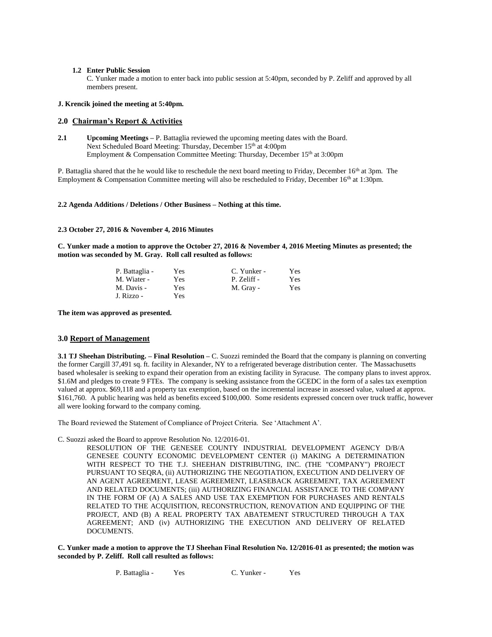#### **1.2 Enter Public Session**

C. Yunker made a motion to enter back into public session at 5:40pm, seconded by P. Zeliff and approved by all members present.

#### **J. Krencik joined the meeting at 5:40pm.**

#### **2.0 Chairman's Report & Activities**

**2.1 Upcoming Meetings** – P. Battaglia reviewed the upcoming meeting dates with the Board. Next Scheduled Board Meeting: Thursday, December 15<sup>th</sup> at 4:00pm Employment & Compensation Committee Meeting: Thursday, December 15<sup>th</sup> at 3:00pm

P. Battaglia shared that the he would like to reschedule the next board meeting to Friday, December  $16<sup>th</sup>$  at 3pm. The Employment & Compensation Committee meeting will also be rescheduled to Friday, December 16<sup>th</sup> at 1:30pm.

#### **2.2 Agenda Additions / Deletions / Other Business – Nothing at this time.**

#### **2.3 October 27, 2016 & November 4, 2016 Minutes**

**C. Yunker made a motion to approve the October 27, 2016 & November 4, 2016 Meeting Minutes as presented; the motion was seconded by M. Gray. Roll call resulted as follows:**

| P. Battaglia - | Yes  | C. Yunker - | Yes |
|----------------|------|-------------|-----|
| M. Wiater -    | Yes. | P. Zeliff - | Yes |
| M. Davis -     | Yes  | M. Gray -   | Yes |
| J. Rizzo -     | Yes  |             |     |

**The item was approved as presented.**

#### **3.0 Report of Management**

**3.1 TJ Sheehan Distributing. – Final Resolution –** C. Suozzi reminded the Board that the company is planning on converting the former Cargill 37,491 sq. ft. facility in Alexander, NY to a refrigerated beverage distribution center. The Massachusetts based wholesaler is seeking to expand their operation from an existing facility in Syracuse. The company plans to invest approx. \$1.6M and pledges to create 9 FTEs. The company is seeking assistance from the GCEDC in the form of a sales tax exemption valued at approx. \$69,118 and a property tax exemption, based on the incremental increase in assessed value, valued at approx. \$161,760. A public hearing was held as benefits exceed \$100,000. Some residents expressed concern over truck traffic, however all were looking forward to the company coming.

The Board reviewed the Statement of Compliance of Project Criteria. See 'Attachment A'.

C. Suozzi asked the Board to approve Resolution No. 12/2016-01.

RESOLUTION OF THE GENESEE COUNTY INDUSTRIAL DEVELOPMENT AGENCY D/B/A GENESEE COUNTY ECONOMIC DEVELOPMENT CENTER (i) MAKING A DETERMINATION WITH RESPECT TO THE T.J. SHEEHAN DISTRIBUTING, INC. (THE "COMPANY") PROJECT PURSUANT TO SEQRA, (ii) AUTHORIZING THE NEGOTIATION, EXECUTION AND DELIVERY OF AN AGENT AGREEMENT, LEASE AGREEMENT, LEASEBACK AGREEMENT, TAX AGREEMENT AND RELATED DOCUMENTS; (iii) AUTHORIZING FINANCIAL ASSISTANCE TO THE COMPANY IN THE FORM OF (A) A SALES AND USE TAX EXEMPTION FOR PURCHASES AND RENTALS RELATED TO THE ACQUISITION, RECONSTRUCTION, RENOVATION AND EQUIPPING OF THE PROJECT, AND (B) A REAL PROPERTY TAX ABATEMENT STRUCTURED THROUGH A TAX AGREEMENT; AND (iv) AUTHORIZING THE EXECUTION AND DELIVERY OF RELATED DOCUMENTS.

**C. Yunker made a motion to approve the TJ Sheehan Final Resolution No. 12/2016-01 as presented; the motion was seconded by P. Zeliff. Roll call resulted as follows:**

P. Battaglia - Yes C. Yunker - Yes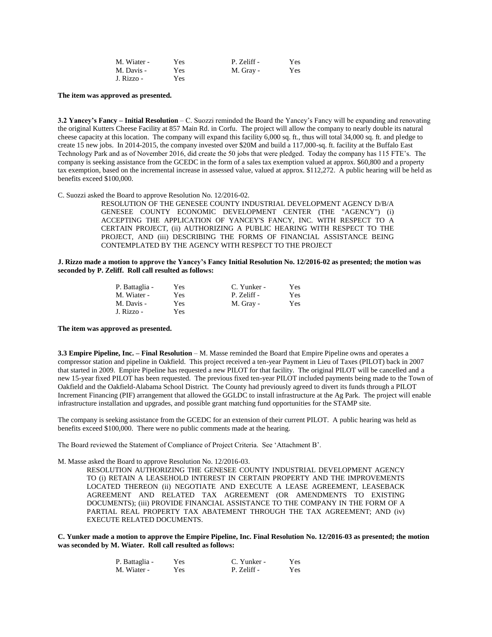| M. Wiater - | Yes | P. Zeliff - | <b>Yes</b> |
|-------------|-----|-------------|------------|
| M. Davis -  | Yes | M. Gray -   | Yes        |
| J. Rizzo -  | Yes |             |            |

**The item was approved as presented.**

**3.2 Yancey's Fancy – Initial Resolution** – C. Suozzi reminded the Board the Yancey's Fancy will be expanding and renovating the original Kutters Cheese Facility at 857 Main Rd. in Corfu. The project will allow the company to nearly double its natural cheese capacity at this location. The company will expand this facility 6,000 sq. ft., thus will total 34,000 sq. ft. and pledge to create 15 new jobs. In 2014-2015, the company invested over \$20M and build a 117,000-sq. ft. facility at the Buffalo East Technology Park and as of November 2016, did create the 50 jobs that were pledged. Today the company has 115 FTE's. The company is seeking assistance from the GCEDC in the form of a sales tax exemption valued at approx. \$60,800 and a property tax exemption, based on the incremental increase in assessed value, valued at approx. \$112,272. A public hearing will be held as benefits exceed \$100,000.

C. Suozzi asked the Board to approve Resolution No. 12/2016-02.

RESOLUTION OF THE GENESEE COUNTY INDUSTRIAL DEVELOPMENT AGENCY D/B/A GENESEE COUNTY ECONOMIC DEVELOPMENT CENTER (THE "AGENCY") (i) ACCEPTING THE APPLICATION OF YANCEY'S FANCY, INC. WITH RESPECT TO A CERTAIN PROJECT, (ii) AUTHORIZING A PUBLIC HEARING WITH RESPECT TO THE PROJECT, AND (iii) DESCRIBING THE FORMS OF FINANCIAL ASSISTANCE BEING CONTEMPLATED BY THE AGENCY WITH RESPECT TO THE PROJECT

**J. Rizzo made a motion to approve the Yancey's Fancy Initial Resolution No. 12/2016-02 as presented; the motion was seconded by P. Zeliff. Roll call resulted as follows:**

| P. Battaglia - | <b>Yes</b> | C. Yunker - | <b>Yes</b> |
|----------------|------------|-------------|------------|
| M. Wiater -    | Yes.       | P. Zeliff - | <b>Yes</b> |
| M. Davis -     | <b>Yes</b> | M. Gray -   | Yes        |
| J. Rizzo -     | Yes        |             |            |

**The item was approved as presented.**

**3.3 Empire Pipeline, Inc. – Final Resolution** – M. Masse reminded the Board that Empire Pipeline owns and operates a compressor station and pipeline in Oakfield. This project received a ten-year Payment in Lieu of Taxes (PILOT) back in 2007 that started in 2009. Empire Pipeline has requested a new PILOT for that facility. The original PILOT will be cancelled and a new 15-year fixed PILOT has been requested. The previous fixed ten-year PILOT included payments being made to the Town of Oakfield and the Oakfield-Alabama School District. The County had previously agreed to divert its funds through a PILOT Increment Financing (PIF) arrangement that allowed the GGLDC to install infrastructure at the Ag Park. The project will enable infrastructure installation and upgrades, and possible grant matching fund opportunities for the STAMP site.

The company is seeking assistance from the GCEDC for an extension of their current PILOT. A public hearing was held as benefits exceed \$100,000. There were no public comments made at the hearing.

The Board reviewed the Statement of Compliance of Project Criteria. See 'Attachment B'.

M. Masse asked the Board to approve Resolution No. 12/2016-03.

RESOLUTION AUTHORIZING THE GENESEE COUNTY INDUSTRIAL DEVELOPMENT AGENCY TO (i) RETAIN A LEASEHOLD INTEREST IN CERTAIN PROPERTY AND THE IMPROVEMENTS LOCATED THEREON (ii) NEGOTIATE AND EXECUTE A LEASE AGREEMENT, LEASEBACK AGREEMENT AND RELATED TAX AGREEMENT (OR AMENDMENTS TO EXISTING DOCUMENTS); (iii) PROVIDE FINANCIAL ASSISTANCE TO THE COMPANY IN THE FORM OF A PARTIAL REAL PROPERTY TAX ABATEMENT THROUGH THE TAX AGREEMENT; AND (iv) EXECUTE RELATED DOCUMENTS.

**C. Yunker made a motion to approve the Empire Pipeline, Inc. Final Resolution No. 12/2016-03 as presented; the motion was seconded by M. Wiater. Roll call resulted as follows:**

| P. Battaglia - | Yes | C. Yunker - | Yes |
|----------------|-----|-------------|-----|
| M. Wiater -    | Yes | P. Zeliff - | Yes |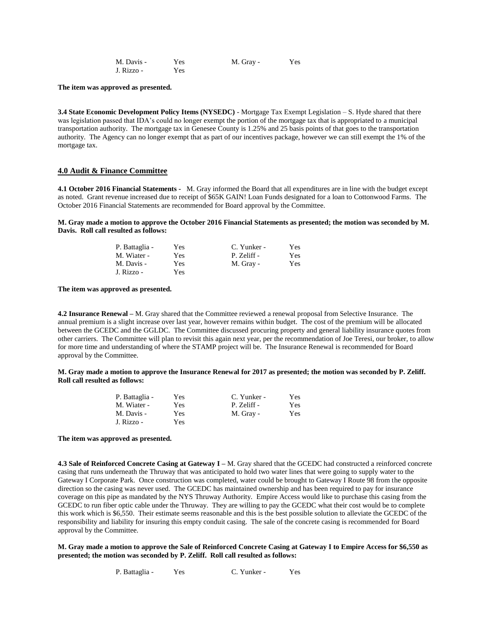| M. Davis - | Yes | M. Gray - | Yes |
|------------|-----|-----------|-----|
| J. Rizzo - | Yes |           |     |

#### **The item was approved as presented.**

**3.4 State Economic Development Policy Items (NYSEDC)** - Mortgage Tax Exempt Legislation – S. Hyde shared that there was legislation passed that IDA's could no longer exempt the portion of the mortgage tax that is appropriated to a municipal transportation authority. The mortgage tax in Genesee County is 1.25% and 25 basis points of that goes to the transportation authority. The Agency can no longer exempt that as part of our incentives package, however we can still exempt the 1% of the mortgage tax.

#### **4.0 Audit & Finance Committee**

**4.1 October 2016 Financial Statements -** M. Gray informed the Board that all expenditures are in line with the budget except as noted. Grant revenue increased due to receipt of \$65K GAIN! Loan Funds designated for a loan to Cottonwood Farms. The October 2016 Financial Statements are recommended for Board approval by the Committee.

**M. Gray made a motion to approve the October 2016 Financial Statements as presented; the motion was seconded by M. Davis. Roll call resulted as follows:**

| P. Battaglia - | Yes | C. Yunker - | Yes.       |
|----------------|-----|-------------|------------|
| M. Wiater -    | Yes | P. Zeliff - | Yes-       |
| M. Davis -     | Yes | M. Gray -   | <b>Yes</b> |
| J. Rizzo -     | Yes |             |            |

**The item was approved as presented.**

**4.2 Insurance Renewal –** M. Gray shared that the Committee reviewed a renewal proposal from Selective Insurance. The annual premium is a slight increase over last year, however remains within budget. The cost of the premium will be allocated between the GCEDC and the GGLDC. The Committee discussed procuring property and general liability insurance quotes from other carriers. The Committee will plan to revisit this again next year, per the recommendation of Joe Teresi, our broker, to allow for more time and understanding of where the STAMP project will be. The Insurance Renewal is recommended for Board approval by the Committee.

**M. Gray made a motion to approve the Insurance Renewal for 2017 as presented; the motion was seconded by P. Zeliff. Roll call resulted as follows:**

| P. Battaglia - | Yes | C. Yunker - | Yes  |
|----------------|-----|-------------|------|
| M. Wiater -    | Yes | P. Zeliff - | Yes  |
| M. Davis -     | Yes | M. Gray -   | Yes. |
| J. Rizzo -     | Yes |             |      |

#### **The item was approved as presented.**

**4.3 Sale of Reinforced Concrete Casing at Gateway I –** M. Gray shared that the GCEDC had constructed a reinforced concrete casing that runs underneath the Thruway that was anticipated to hold two water lines that were going to supply water to the Gateway I Corporate Park. Once construction was completed, water could be brought to Gateway I Route 98 from the opposite direction so the casing was never used. The GCEDC has maintained ownership and has been required to pay for insurance coverage on this pipe as mandated by the NYS Thruway Authority. Empire Access would like to purchase this casing from the GCEDC to run fiber optic cable under the Thruway. They are willing to pay the GCEDC what their cost would be to complete this work which is \$6,550. Their estimate seems reasonable and this is the best possible solution to alleviate the GCEDC of the responsibility and liability for insuring this empty conduit casing. The sale of the concrete casing is recommended for Board approval by the Committee.

#### **M. Gray made a motion to approve the Sale of Reinforced Concrete Casing at Gateway I to Empire Access for \$6,550 as presented; the motion was seconded by P. Zeliff. Roll call resulted as follows:**

P. Battaglia - Yes C. Yunker - Yes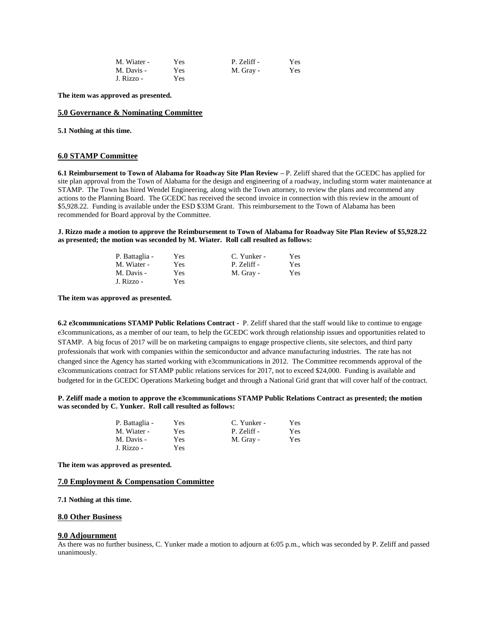| M. Wiater - | Yes        | P. Zeliff - | Yes |
|-------------|------------|-------------|-----|
| M. Davis -  | <b>Yes</b> | M. Gray -   | Yes |
| J. Rizzo -  | Yes        |             |     |

**The item was approved as presented.**

#### **5.0 Governance & Nominating Committee**

**5.1 Nothing at this time.**

#### **6.0 STAMP Committee**

**6.1 Reimbursement to Town of Alabama for Roadway Site Plan Review –** P. Zeliff shared that the GCEDC has applied for site plan approval from the Town of Alabama for the design and engineering of a roadway, including storm water maintenance at STAMP. The Town has hired Wendel Engineering, along with the Town attorney, to review the plans and recommend any actions to the Planning Board. The GCEDC has received the second invoice in connection with this review in the amount of \$5,928.22. Funding is available under the ESD \$33M Grant. This reimbursement to the Town of Alabama has been recommended for Board approval by the Committee.

**J. Rizzo made a motion to approve the Reimbursement to Town of Alabama for Roadway Site Plan Review of \$5,928.22 as presented; the motion was seconded by M. Wiater. Roll call resulted as follows:**

| P. Battaglia - | Yes | C. Yunker - | Yes |
|----------------|-----|-------------|-----|
| M. Wiater -    | Yes | P. Zeliff - | Yes |
| M. Davis -     | Yes | M. Gray -   | Yes |
| J. Rizzo -     | Yes |             |     |

**The item was approved as presented.**

**6.2 e3communications STAMP Public Relations Contract -** P. Zeliff shared that the staff would like to continue to engage e3communications, as a member of our team, to help the GCEDC work through relationship issues and opportunities related to STAMP. A big focus of 2017 will be on marketing campaigns to engage prospective clients, site selectors, and third party professionals that work with companies within the semiconductor and advance manufacturing industries. The rate has not changed since the Agency has started working with e3communications in 2012. The Committee recommends approval of the e3communications contract for STAMP public relations services for 2017, not to exceed \$24,000. Funding is available and budgeted for in the GCEDC Operations Marketing budget and through a National Grid grant that will cover half of the contract.

**P. Zeliff made a motion to approve the e3communications STAMP Public Relations Contract as presented; the motion was seconded by C. Yunker. Roll call resulted as follows:**

| P. Battaglia - | Yes | C. Yunker - | Yes.       |
|----------------|-----|-------------|------------|
| M. Wiater -    | Yes | P. Zeliff - | Yes.       |
| M. Davis -     | Yes | M. Gray -   | <b>Yes</b> |
| J. Rizzo -     | Yes |             |            |

**The item was approved as presented.**

#### **7.0 Employment & Compensation Committee**

**7.1 Nothing at this time.**

### **8.0 Other Business**

#### **9.0 Adjournment**

As there was no further business, C. Yunker made a motion to adjourn at 6:05 p.m., which was seconded by P. Zeliff and passed unanimously.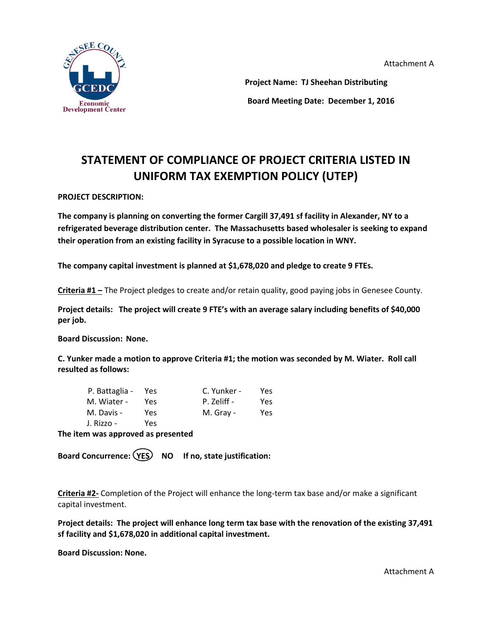Attachment A



 **Project Name: TJ Sheehan Distributing Board Meeting Date: December 1, 2016**

# **STATEMENT OF COMPLIANCE OF PROJECT CRITERIA LISTED IN UNIFORM TAX EXEMPTION POLICY (UTEP)**

# **PROJECT DESCRIPTION:**

**The company is planning on converting the former Cargill 37,491 sf facility in Alexander, NY to a refrigerated beverage distribution center. The Massachusetts based wholesaler is seeking to expand their operation from an existing facility in Syracuse to a possible location in WNY.**

**The company capital investment is planned at \$1,678,020 and pledge to create 9 FTEs.**

**Criteria #1 –** The Project pledges to create and/or retain quality, good paying jobs in Genesee County.

**Project details: The project will create 9 FTE's with an average salary including benefits of \$40,000 per job.**

**Board Discussion: None.**

**C. Yunker made a motion to approve Criteria #1; the motion was seconded by M. Wiater. Roll call resulted as follows:**

| P. Battaglia - Yes |     | C. Yunker - | Yes |
|--------------------|-----|-------------|-----|
| M. Wiater -        | Yes | P. Zeliff - | Yes |
| M. Davis -         | Yes | M. Gray -   | Yes |
| J. Rizzo -         | Yes |             |     |

**The item was approved as presented**

Board Concurrence: (YES) NO If no, state justification:

**Criteria #2-** Completion of the Project will enhance the long-term tax base and/or make a significant capital investment.

**Project details: The project will enhance long term tax base with the renovation of the existing 37,491 sf facility and \$1,678,020 in additional capital investment.**

**Board Discussion: None.**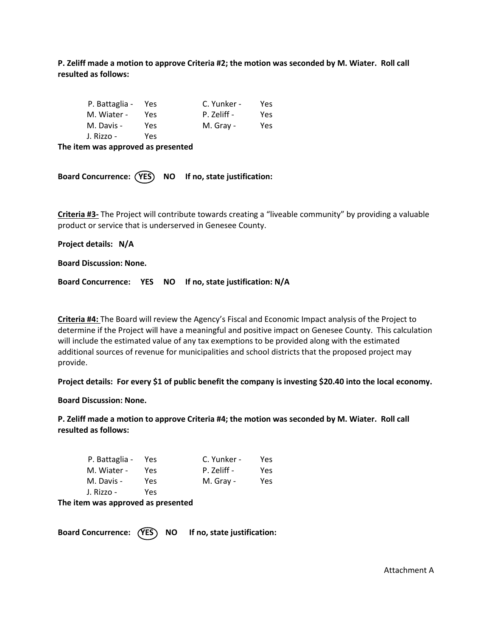**P. Zeliff made a motion to approve Criteria #2; the motion was seconded by M. Wiater. Roll call resulted as follows:**

| P. Battaglia - Yes |      | C. Yunker - | Yes |
|--------------------|------|-------------|-----|
| M. Wiater -        | Yes. | P. Zeliff - | Yes |
| M. Davis -         | Yes  | M. Gray -   | Yes |
| J. Rizzo -         | Yes  |             |     |

**The item was approved as presented**

Board Concurrence: (YES) NO If no, state justification:

**Criteria #3-** The Project will contribute towards creating a "liveable community" by providing a valuable product or service that is underserved in Genesee County.

**Project details: N/A**

**Board Discussion: None.**

**Board Concurrence: YES NO If no, state justification: N/A**

**Criteria #4:** The Board will review the Agency's Fiscal and Economic Impact analysis of the Project to determine if the Project will have a meaningful and positive impact on Genesee County. This calculation will include the estimated value of any tax exemptions to be provided along with the estimated additional sources of revenue for municipalities and school districts that the proposed project may provide.

**Project details: For every \$1 of public benefit the company is investing \$20.40 into the local economy.**

**Board Discussion: None.**

**P. Zeliff made a motion to approve Criteria #4; the motion was seconded by M. Wiater. Roll call resulted as follows:**

| P. Battaglia - | Yes | C. Yunker - | Yes  |
|----------------|-----|-------------|------|
| M. Wiater -    | Yes | P. Zeliff - | Yes. |
| M. Davis -     | Yes | M. Gray -   | Yes  |
| J. Rizzo -     | Yes |             |      |

**The item was approved as presented**

Board Concurrence: (YES) NO If no, state justification: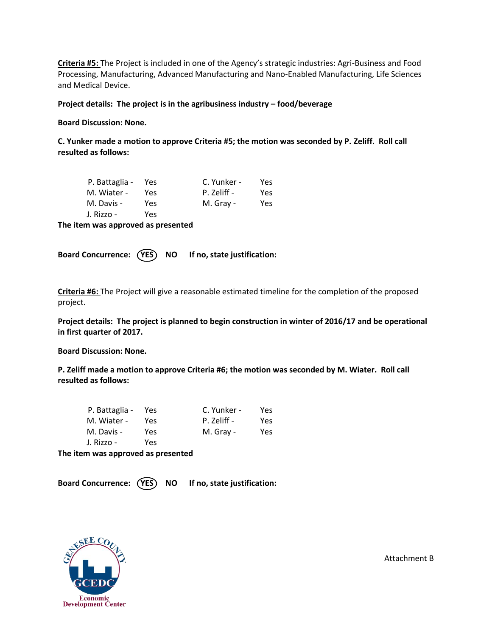**Criteria #5:** The Project is included in one of the Agency's strategic industries: Agri-Business and Food Processing, Manufacturing, Advanced Manufacturing and Nano-Enabled Manufacturing, Life Sciences and Medical Device.

**Project details: The project is in the agribusiness industry – food/beverage** 

**Board Discussion: None.**

**C. Yunker made a motion to approve Criteria #5; the motion was seconded by P. Zeliff. Roll call resulted as follows:**

| P. Battaglia - Yes |     | C. Yunker - | Yes |
|--------------------|-----|-------------|-----|
| M. Wiater -        | Yes | P. Zeliff - | Yes |
| M. Davis -         | Yes | M. Gray -   | Yes |
| J. Rizzo -         | Yes |             |     |

**The item was approved as presented**

Board Concurrence: (YES) NO If no, state justification:

**Criteria #6:** The Project will give a reasonable estimated timeline for the completion of the proposed project.

**Project details: The project is planned to begin construction in winter of 2016/17 and be operational in first quarter of 2017.**

**Board Discussion: None.**

**P. Zeliff made a motion to approve Criteria #6; the motion was seconded by M. Wiater. Roll call resulted as follows:**

| P. Battaglia - Yes |     | C. Yunker - | Yes |
|--------------------|-----|-------------|-----|
| M. Wiater -        | Yes | P. Zeliff - | Yes |
| M. Davis -         | Yes | M. Gray -   | Yes |
| J. Rizzo -         | Yes |             |     |

**The item was approved as presented**

Board Concurrence: (YES) NO If no, state justification:



Attachment B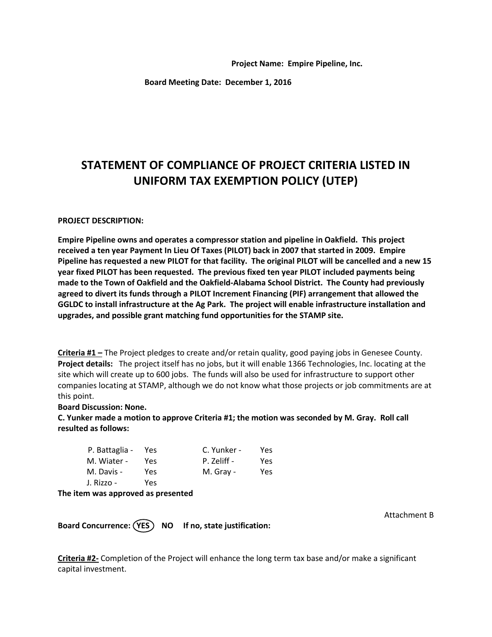**Project Name: Empire Pipeline, Inc.**

**Board Meeting Date: December 1, 2016**

# **STATEMENT OF COMPLIANCE OF PROJECT CRITERIA LISTED IN UNIFORM TAX EXEMPTION POLICY (UTEP)**

## **PROJECT DESCRIPTION:**

**Empire Pipeline owns and operates a compressor station and pipeline in Oakfield. This project received a ten year Payment In Lieu Of Taxes (PILOT) back in 2007 that started in 2009. Empire Pipeline has requested a new PILOT for that facility. The original PILOT will be cancelled and a new 15 year fixed PILOT has been requested. The previous fixed ten year PILOT included payments being made to the Town of Oakfield and the Oakfield-Alabama School District. The County had previously agreed to divert its funds through a PILOT Increment Financing (PIF) arrangement that allowed the GGLDC to install infrastructure at the Ag Park. The project will enable infrastructure installation and upgrades, and possible grant matching fund opportunities for the STAMP site.**

**Criteria #1 –** The Project pledges to create and/or retain quality, good paying jobs in Genesee County. **Project details:** The project itself has no jobs, but it will enable 1366 Technologies, Inc. locating at the site which will create up to 600 jobs. The funds will also be used for infrastructure to support other companies locating at STAMP, although we do not know what those projects or job commitments are at this point.

## **Board Discussion: None.**

**C. Yunker made a motion to approve Criteria #1; the motion was seconded by M. Gray. Roll call resulted as follows:**

| P. Battaglia - | Yes | C. Yunker - | Yes |
|----------------|-----|-------------|-----|
| M. Wiater -    | Yes | P. Zeliff - | Yes |
| M. Davis -     | Yes | M. Gray -   | Yes |
| J. Rizzo -     | Yes |             |     |

## **The item was approved as presented**

Attachment B

Board Concurrence: (YES) NO If no, state justification:

**Criteria #2-** Completion of the Project will enhance the long term tax base and/or make a significant capital investment.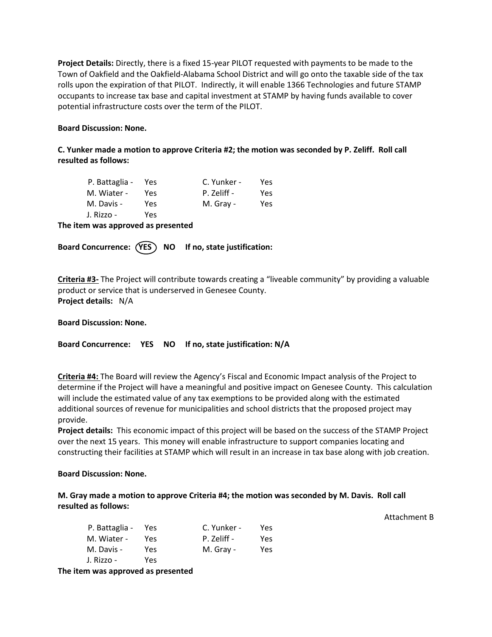**Project Details:** Directly, there is a fixed 15-year PILOT requested with payments to be made to the Town of Oakfield and the Oakfield-Alabama School District and will go onto the taxable side of the tax rolls upon the expiration of that PILOT. Indirectly, it will enable 1366 Technologies and future STAMP occupants to increase tax base and capital investment at STAMP by having funds available to cover potential infrastructure costs over the term of the PILOT.

# **Board Discussion: None.**

**C. Yunker made a motion to approve Criteria #2; the motion was seconded by P. Zeliff. Roll call resulted as follows:**

| P. Battaglia - Yes |      | C. Yunker - | Yes. |
|--------------------|------|-------------|------|
| M. Wiater -        | Yes. | P. Zeliff - | Yes. |
| M. Davis -         | Yes  | M. Gray -   | Yes  |
| J. Rizzo -         | Yes  |             |      |

**The item was approved as presented**

Board Concurrence: (YES) NO If no, state justification:

**Criteria #3-** The Project will contribute towards creating a "liveable community" by providing a valuable product or service that is underserved in Genesee County. **Project details:** N/A

**Board Discussion: None.**

**Board Concurrence: YES NO If no, state justification: N/A**

**Criteria #4:** The Board will review the Agency's Fiscal and Economic Impact analysis of the Project to determine if the Project will have a meaningful and positive impact on Genesee County. This calculation will include the estimated value of any tax exemptions to be provided along with the estimated additional sources of revenue for municipalities and school districts that the proposed project may provide.

**Project details:** This economic impact of this project will be based on the success of the STAMP Project over the next 15 years. This money will enable infrastructure to support companies locating and constructing their facilities at STAMP which will result in an increase in tax base along with job creation.

Attachment B

**Board Discussion: None.**

**M. Gray made a motion to approve Criteria #4; the motion was seconded by M. Davis. Roll call resulted as follows:**

| P. Battaglia -<br>M. Wiater - | Yes<br>Yes | C. Yunker -<br>P. Zeliff - | Yes<br>Yes |
|-------------------------------|------------|----------------------------|------------|
| M. Davis -                    | Yes        | M. Gray -                  | Yes        |
| J. Rizzo -                    | Yes        |                            |            |

**The item was approved as presented**